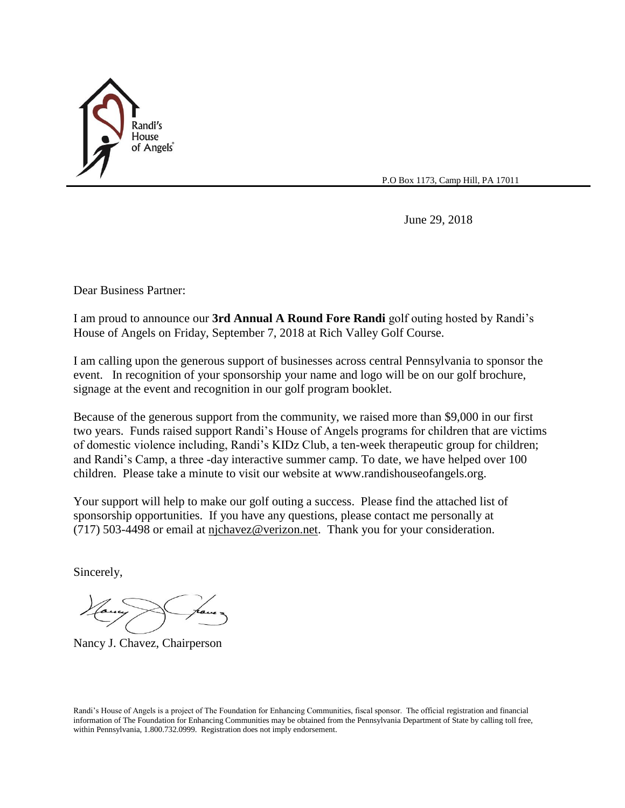

P.O Box 1173, Camp Hill, PA 17011

June 29, 2018

Dear Business Partner:

I am proud to announce our **3rd Annual A Round Fore Randi** golf outing hosted by Randi's House of Angels on Friday, September 7, 2018 at Rich Valley Golf Course.

I am calling upon the generous support of businesses across central Pennsylvania to sponsor the event. In recognition of your sponsorship your name and logo will be on our golf brochure, signage at the event and recognition in our golf program booklet.

Because of the generous support from the community, we raised more than \$9,000 in our first two years. Funds raised support Randi's House of Angels programs for children that are victims of domestic violence including, Randi's KIDz Club, a ten-week therapeutic group for children; and Randi's Camp, a three -day interactive summer camp. To date, we have helped over 100 children. Please take a minute to visit our website at www.randishouseofangels.org.

Your support will help to make our golf outing a success. Please find the attached list of sponsorship opportunities. If you have any questions, please contact me personally at (717) 503-4498 or email at [njchavez@verizon.net.](mailto:njchavez@verizon.net) Thank you for your consideration.

Sincerely,

Nancy J. Chavez, Chairperson

Randi's House of Angels is a project of The Foundation for Enhancing Communities, fiscal sponsor. The official registration and financial information of The Foundation for Enhancing Communities may be obtained from the Pennsylvania Department of State by calling toll free, within Pennsylvania, 1.800.732.0999. Registration does not imply endorsement.